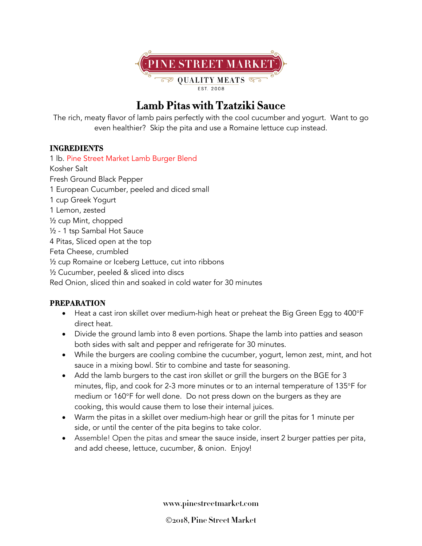

## **Lamb Pitas with Tzatziki Sauce**

The rich, meaty flavor of lamb pairs perfectly with the cool cucumber and yogurt. Want to go even healthier? Skip the pita and use a Romaine lettuce cup instead.

## **INGREDIENTS**

1 lb. Pine Street Market Lamb Burger Blend Kosher Salt Fresh Ground Black Pepper 1 European Cucumber, peeled and diced small 1 cup Greek Yogurt 1 Lemon, zested ½ cup Mint, chopped ½ - 1 tsp Sambal Hot Sauce 4 Pitas, Sliced open at the top Feta Cheese, crumbled ½ cup Romaine or Iceberg Lettuce, cut into ribbons ½ Cucumber, peeled & sliced into discs Red Onion, sliced thin and soaked in cold water for 30 minutes

## **PREPARATION**

- Heat a cast iron skillet over medium-high heat or preheat the Big Green Egg to 400°F direct heat.
- Divide the ground lamb into 8 even portions. Shape the lamb into patties and season both sides with salt and pepper and refrigerate for 30 minutes.
- While the burgers are cooling combine the cucumber, yogurt, lemon zest, mint, and hot sauce in a mixing bowl. Stir to combine and taste for seasoning.
- Add the lamb burgers to the cast iron skillet or grill the burgers on the BGE for 3 minutes, flip, and cook for 2-3 more minutes or to an internal temperature of 135°F for medium or 160°F for well done. Do not press down on the burgers as they are cooking, this would cause them to lose their internal juices.
- Warm the pitas in a skillet over medium-high hear or grill the pitas for 1 minute per side, or until the center of the pita begins to take color.
- Assemble! Open the pitas and smear the sauce inside, insert 2 burger patties per pita, and add cheese, lettuce, cucumber, & onion. Enjoy!

**www.pinestreetmarket.com**

Ó**2018, Pine Street Market**